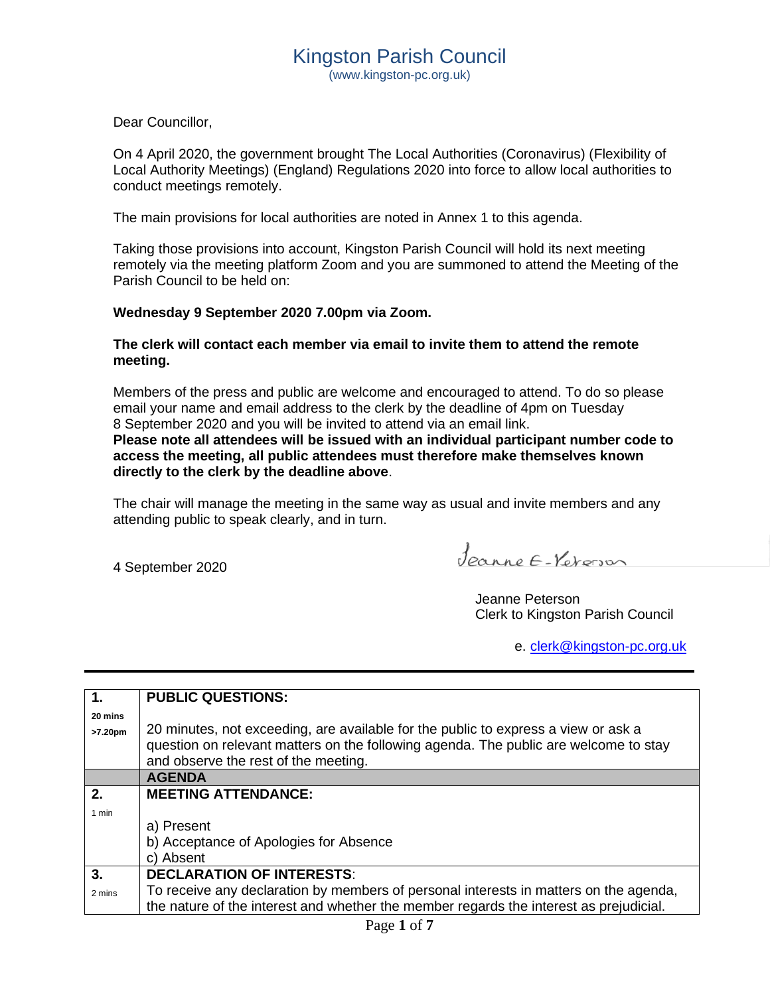Dear Councillor,

On 4 April 2020, the government brought The Local Authorities (Coronavirus) (Flexibility of Local Authority Meetings) (England) Regulations 2020 into force to allow local authorities to conduct meetings remotely.

The main provisions for local authorities are noted in Annex 1 to this agenda.

Taking those provisions into account, Kingston Parish Council will hold its next meeting remotely via the meeting platform Zoom and you are summoned to attend the Meeting of the Parish Council to be held on:

### **Wednesday 9 September 2020 7.00pm via Zoom.**

### **The clerk will contact each member via email to invite them to attend the remote meeting.**

Members of the press and public are welcome and encouraged to attend. To do so please email your name and email address to the clerk by the deadline of 4pm on Tuesday 8 September 2020 and you will be invited to attend via an email link.

**Please note all attendees will be issued with an individual participant number code to access the meeting, all public attendees must therefore make themselves known directly to the clerk by the deadline above**.

The chair will manage the meeting in the same way as usual and invite members and any attending public to speak clearly, and in turn.

4 September 2020

Jeanne E-Verons

Jeanne Peterson Clerk to Kingston Parish Council

e. [clerk@kingston-pc.org.uk](mailto:clerk@kingston-pc.org.uk)

| 1.      | <b>PUBLIC QUESTIONS:</b>                                                                                                                                                                                           |
|---------|--------------------------------------------------------------------------------------------------------------------------------------------------------------------------------------------------------------------|
| 20 mins |                                                                                                                                                                                                                    |
| >7.20pm | 20 minutes, not exceeding, are available for the public to express a view or ask a<br>question on relevant matters on the following agenda. The public are welcome to stay<br>and observe the rest of the meeting. |
|         | <b>AGENDA</b>                                                                                                                                                                                                      |
| 2.      | <b>MEETING ATTENDANCE:</b>                                                                                                                                                                                         |
| 1 min   |                                                                                                                                                                                                                    |
|         | a) Present                                                                                                                                                                                                         |
|         | b) Acceptance of Apologies for Absence                                                                                                                                                                             |
|         | c) Absent                                                                                                                                                                                                          |
| 3.      | <b>DECLARATION OF INTERESTS:</b>                                                                                                                                                                                   |
| 2 mins  | To receive any declaration by members of personal interests in matters on the agenda,                                                                                                                              |
|         | the nature of the interest and whether the member regards the interest as prejudicial.                                                                                                                             |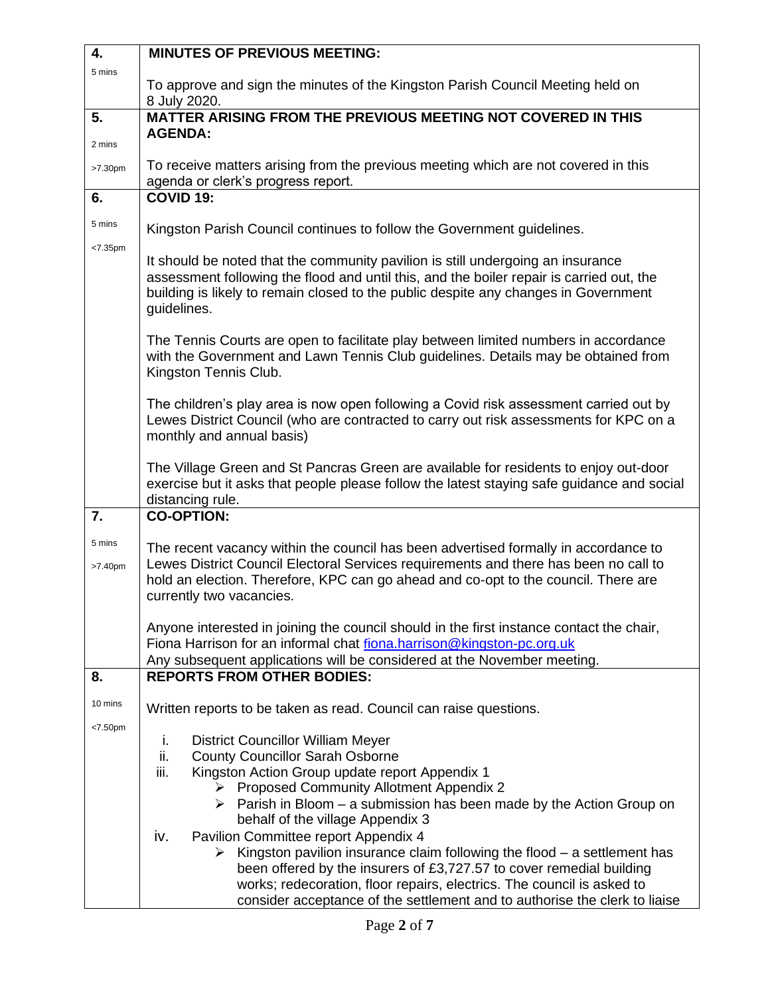| 4.                   | <b>MINUTES OF PREVIOUS MEETING:</b>                                                                                                                                                                                                                                                                                                                                      |  |  |  |
|----------------------|--------------------------------------------------------------------------------------------------------------------------------------------------------------------------------------------------------------------------------------------------------------------------------------------------------------------------------------------------------------------------|--|--|--|
| 5 mins               | To approve and sign the minutes of the Kingston Parish Council Meeting held on                                                                                                                                                                                                                                                                                           |  |  |  |
|                      | 8 July 2020.                                                                                                                                                                                                                                                                                                                                                             |  |  |  |
| 5.                   | <b>MATTER ARISING FROM THE PREVIOUS MEETING NOT COVERED IN THIS</b>                                                                                                                                                                                                                                                                                                      |  |  |  |
| 2 mins               | <b>AGENDA:</b>                                                                                                                                                                                                                                                                                                                                                           |  |  |  |
| >7.30pm              | To receive matters arising from the previous meeting which are not covered in this<br>agenda or clerk's progress report.                                                                                                                                                                                                                                                 |  |  |  |
| 6.                   | <b>COVID 19:</b>                                                                                                                                                                                                                                                                                                                                                         |  |  |  |
| 5 mins               | Kingston Parish Council continues to follow the Government guidelines.                                                                                                                                                                                                                                                                                                   |  |  |  |
| < 7.35 <sub>pm</sub> | It should be noted that the community pavilion is still undergoing an insurance<br>assessment following the flood and until this, and the boiler repair is carried out, the<br>building is likely to remain closed to the public despite any changes in Government<br>guidelines.                                                                                        |  |  |  |
|                      | The Tennis Courts are open to facilitate play between limited numbers in accordance<br>with the Government and Lawn Tennis Club guidelines. Details may be obtained from<br>Kingston Tennis Club.                                                                                                                                                                        |  |  |  |
|                      | The children's play area is now open following a Covid risk assessment carried out by<br>Lewes District Council (who are contracted to carry out risk assessments for KPC on a<br>monthly and annual basis)                                                                                                                                                              |  |  |  |
|                      | The Village Green and St Pancras Green are available for residents to enjoy out-door<br>exercise but it asks that people please follow the latest staying safe guidance and social<br>distancing rule.                                                                                                                                                                   |  |  |  |
| 7.                   | <b>CO-OPTION:</b>                                                                                                                                                                                                                                                                                                                                                        |  |  |  |
| 5 mins<br>>7.40pm    | The recent vacancy within the council has been advertised formally in accordance to<br>Lewes District Council Electoral Services requirements and there has been no call to<br>hold an election. Therefore, KPC can go ahead and co-opt to the council. There are<br>currently two vacancies.                                                                            |  |  |  |
|                      | Anyone interested in joining the council should in the first instance contact the chair,<br>Fiona Harrison for an informal chat fiona.harrison@kingston-pc.org.uk                                                                                                                                                                                                        |  |  |  |
| 8.                   | Any subsequent applications will be considered at the November meeting.<br><b>REPORTS FROM OTHER BODIES:</b>                                                                                                                                                                                                                                                             |  |  |  |
| 10 mins              | Written reports to be taken as read. Council can raise questions.                                                                                                                                                                                                                                                                                                        |  |  |  |
| < 7.50 <sub>pm</sub> | <b>District Councillor William Meyer</b><br>i.<br>ii.<br><b>County Councillor Sarah Osborne</b><br>iii.<br>Kingston Action Group update report Appendix 1<br>▶ Proposed Community Allotment Appendix 2<br>$\triangleright$ Parish in Bloom – a submission has been made by the Action Group on<br>behalf of the village Appendix 3                                       |  |  |  |
|                      | Pavilion Committee report Appendix 4<br>iv.<br>$\triangleright$ Kingston pavilion insurance claim following the flood – a settlement has<br>been offered by the insurers of £3,727.57 to cover remedial building<br>works; redecoration, floor repairs, electrics. The council is asked to<br>consider acceptance of the settlement and to authorise the clerk to liaise |  |  |  |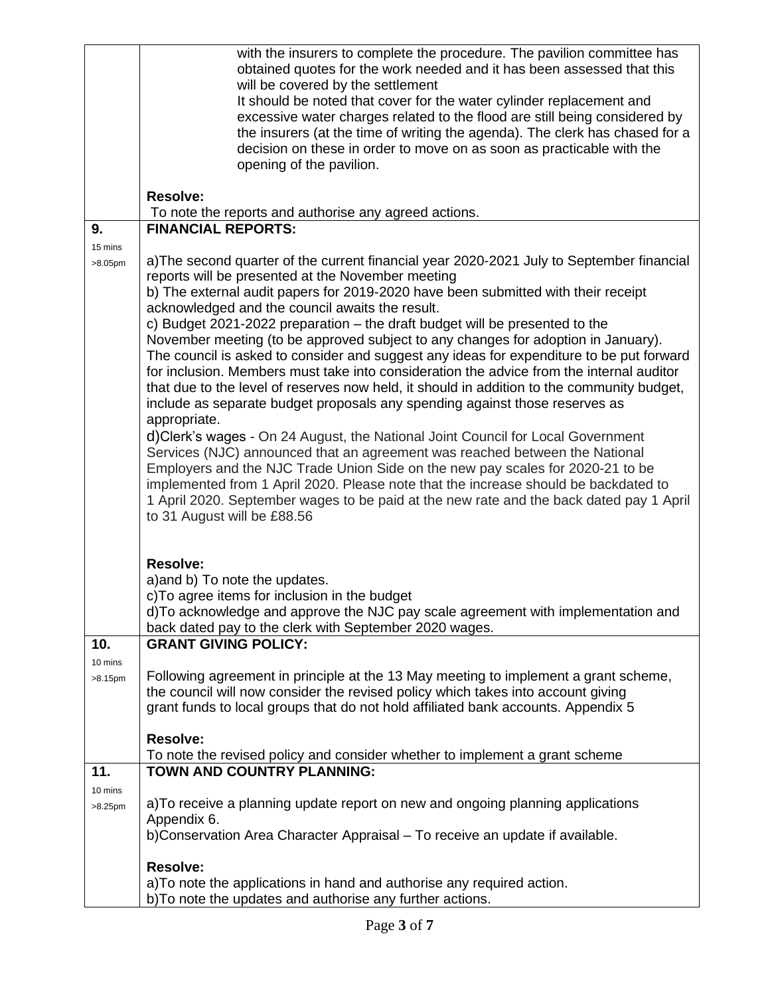|            | with the insurers to complete the procedure. The pavilion committee has<br>obtained quotes for the work needed and it has been assessed that this                                      |  |  |  |
|------------|----------------------------------------------------------------------------------------------------------------------------------------------------------------------------------------|--|--|--|
|            | will be covered by the settlement                                                                                                                                                      |  |  |  |
|            | It should be noted that cover for the water cylinder replacement and                                                                                                                   |  |  |  |
|            | excessive water charges related to the flood are still being considered by                                                                                                             |  |  |  |
|            | the insurers (at the time of writing the agenda). The clerk has chased for a                                                                                                           |  |  |  |
|            | decision on these in order to move on as soon as practicable with the<br>opening of the pavilion.                                                                                      |  |  |  |
|            |                                                                                                                                                                                        |  |  |  |
|            | <b>Resolve:</b>                                                                                                                                                                        |  |  |  |
|            | To note the reports and authorise any agreed actions.                                                                                                                                  |  |  |  |
| 9.         | <b>FINANCIAL REPORTS:</b>                                                                                                                                                              |  |  |  |
| 15 mins    | a)The second quarter of the current financial year 2020-2021 July to September financial                                                                                               |  |  |  |
| >8.05pm    | reports will be presented at the November meeting                                                                                                                                      |  |  |  |
|            | b) The external audit papers for 2019-2020 have been submitted with their receipt                                                                                                      |  |  |  |
|            | acknowledged and the council awaits the result.                                                                                                                                        |  |  |  |
|            | c) Budget 2021-2022 preparation – the draft budget will be presented to the                                                                                                            |  |  |  |
|            | November meeting (to be approved subject to any changes for adoption in January).                                                                                                      |  |  |  |
|            | The council is asked to consider and suggest any ideas for expenditure to be put forward                                                                                               |  |  |  |
|            | for inclusion. Members must take into consideration the advice from the internal auditor<br>that due to the level of reserves now held, it should in addition to the community budget, |  |  |  |
|            | include as separate budget proposals any spending against those reserves as                                                                                                            |  |  |  |
|            | appropriate.                                                                                                                                                                           |  |  |  |
|            | d)Clerk's wages - On 24 August, the National Joint Council for Local Government                                                                                                        |  |  |  |
|            | Services (NJC) announced that an agreement was reached between the National                                                                                                            |  |  |  |
|            | Employers and the NJC Trade Union Side on the new pay scales for 2020-21 to be                                                                                                         |  |  |  |
|            | implemented from 1 April 2020. Please note that the increase should be backdated to                                                                                                    |  |  |  |
|            | 1 April 2020. September wages to be paid at the new rate and the back dated pay 1 April<br>to 31 August will be £88.56                                                                 |  |  |  |
|            |                                                                                                                                                                                        |  |  |  |
|            |                                                                                                                                                                                        |  |  |  |
|            | <b>Resolve:</b>                                                                                                                                                                        |  |  |  |
|            | a) and b) To note the updates.                                                                                                                                                         |  |  |  |
|            | c) To agree items for inclusion in the budget<br>d)To acknowledge and approve the NJC pay scale agreement with implementation and                                                      |  |  |  |
|            | back dated pay to the clerk with September 2020 wages.                                                                                                                                 |  |  |  |
| 10.        | <b>GRANT GIVING POLICY:</b>                                                                                                                                                            |  |  |  |
| 10 mins    |                                                                                                                                                                                        |  |  |  |
| >8.15pm    | Following agreement in principle at the 13 May meeting to implement a grant scheme,                                                                                                    |  |  |  |
|            | the council will now consider the revised policy which takes into account giving                                                                                                       |  |  |  |
|            | grant funds to local groups that do not hold affiliated bank accounts. Appendix 5                                                                                                      |  |  |  |
|            | <b>Resolve:</b>                                                                                                                                                                        |  |  |  |
|            | To note the revised policy and consider whether to implement a grant scheme                                                                                                            |  |  |  |
| 11.        | TOWN AND COUNTRY PLANNING:                                                                                                                                                             |  |  |  |
| 10 mins    |                                                                                                                                                                                        |  |  |  |
| $>8.25$ pm | a) To receive a planning update report on new and ongoing planning applications                                                                                                        |  |  |  |
|            | Appendix 6.<br>b) Conservation Area Character Appraisal - To receive an update if available.                                                                                           |  |  |  |
|            |                                                                                                                                                                                        |  |  |  |
|            | <b>Resolve:</b>                                                                                                                                                                        |  |  |  |
|            | a) To note the applications in hand and authorise any required action.                                                                                                                 |  |  |  |
|            | b) To note the updates and authorise any further actions.                                                                                                                              |  |  |  |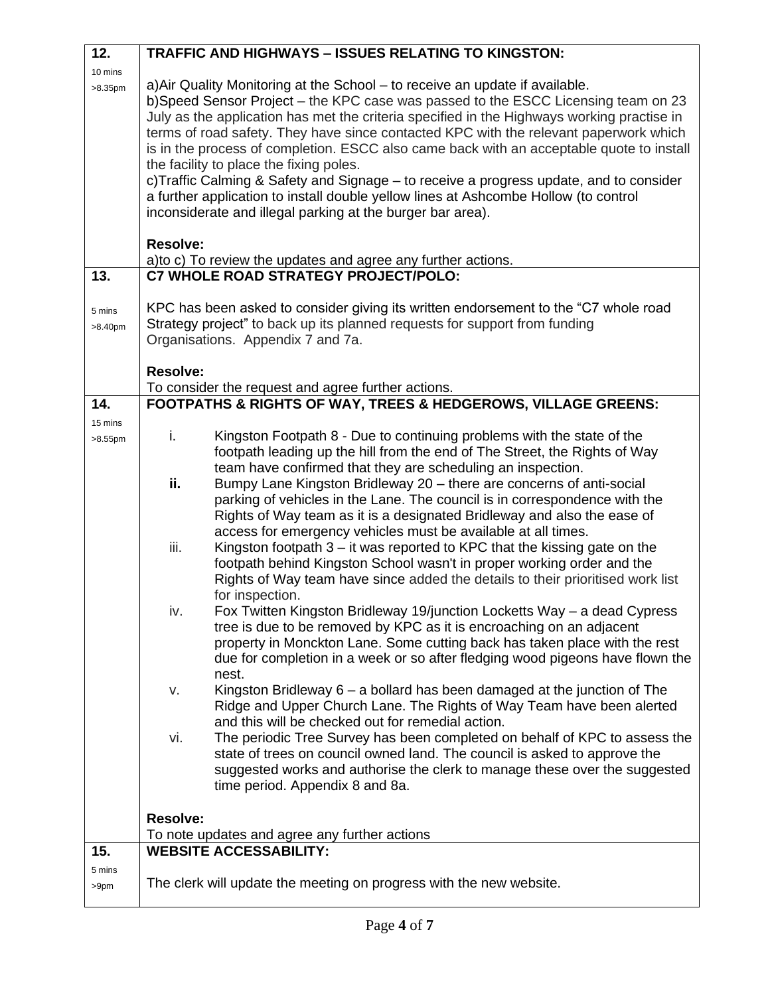| 12.        |                                                                                     | <b>TRAFFIC AND HIGHWAYS - ISSUES RELATING TO KINGSTON:</b>                                                                                                                      |  |  |  |  |
|------------|-------------------------------------------------------------------------------------|---------------------------------------------------------------------------------------------------------------------------------------------------------------------------------|--|--|--|--|
| 10 mins    |                                                                                     |                                                                                                                                                                                 |  |  |  |  |
| $>8.35$ pm |                                                                                     | a) Air Quality Monitoring at the School – to receive an update if available.                                                                                                    |  |  |  |  |
|            |                                                                                     | b)Speed Sensor Project - the KPC case was passed to the ESCC Licensing team on 23<br>July as the application has met the criteria specified in the Highways working practise in |  |  |  |  |
|            |                                                                                     | terms of road safety. They have since contacted KPC with the relevant paperwork which                                                                                           |  |  |  |  |
|            |                                                                                     | is in the process of completion. ESCC also came back with an acceptable quote to install                                                                                        |  |  |  |  |
|            |                                                                                     | the facility to place the fixing poles.                                                                                                                                         |  |  |  |  |
|            |                                                                                     | c) Traffic Calming & Safety and Signage – to receive a progress update, and to consider                                                                                         |  |  |  |  |
|            |                                                                                     | a further application to install double yellow lines at Ashcombe Hollow (to control                                                                                             |  |  |  |  |
|            |                                                                                     | inconsiderate and illegal parking at the burger bar area).                                                                                                                      |  |  |  |  |
|            |                                                                                     |                                                                                                                                                                                 |  |  |  |  |
|            | <b>Resolve:</b><br>a) to c) To review the updates and agree any further actions.    |                                                                                                                                                                                 |  |  |  |  |
| 13.        |                                                                                     | C7 WHOLE ROAD STRATEGY PROJECT/POLO:                                                                                                                                            |  |  |  |  |
|            |                                                                                     |                                                                                                                                                                                 |  |  |  |  |
| 5 mins     | KPC has been asked to consider giving its written endorsement to the "C7 whole road |                                                                                                                                                                                 |  |  |  |  |
| >8.40pm    | Strategy project" to back up its planned requests for support from funding          |                                                                                                                                                                                 |  |  |  |  |
|            |                                                                                     | Organisations. Appendix 7 and 7a.                                                                                                                                               |  |  |  |  |
|            | <b>Resolve:</b>                                                                     |                                                                                                                                                                                 |  |  |  |  |
|            |                                                                                     | To consider the request and agree further actions.                                                                                                                              |  |  |  |  |
| 14.        |                                                                                     | FOOTPATHS & RIGHTS OF WAY, TREES & HEDGEROWS, VILLAGE GREENS:                                                                                                                   |  |  |  |  |
| 15 mins    |                                                                                     |                                                                                                                                                                                 |  |  |  |  |
| $>8.55$ pm | i.                                                                                  | Kingston Footpath 8 - Due to continuing problems with the state of the                                                                                                          |  |  |  |  |
|            |                                                                                     | footpath leading up the hill from the end of The Street, the Rights of Way<br>team have confirmed that they are scheduling an inspection.                                       |  |  |  |  |
|            | ii.                                                                                 | Bumpy Lane Kingston Bridleway 20 - there are concerns of anti-social                                                                                                            |  |  |  |  |
|            |                                                                                     | parking of vehicles in the Lane. The council is in correspondence with the                                                                                                      |  |  |  |  |
|            |                                                                                     | Rights of Way team as it is a designated Bridleway and also the ease of                                                                                                         |  |  |  |  |
|            |                                                                                     | access for emergency vehicles must be available at all times.                                                                                                                   |  |  |  |  |
|            | iii.                                                                                | Kingston footpath $3 - it$ was reported to KPC that the kissing gate on the                                                                                                     |  |  |  |  |
|            |                                                                                     | footpath behind Kingston School wasn't in proper working order and the                                                                                                          |  |  |  |  |
|            |                                                                                     | Rights of Way team have since added the details to their prioritised work list                                                                                                  |  |  |  |  |
|            |                                                                                     | for inspection.                                                                                                                                                                 |  |  |  |  |
|            | iv.                                                                                 | Fox Twitten Kingston Bridleway 19/junction Locketts Way - a dead Cypress                                                                                                        |  |  |  |  |
|            |                                                                                     | tree is due to be removed by KPC as it is encroaching on an adjacent<br>property in Monckton Lane. Some cutting back has taken place with the rest                              |  |  |  |  |
|            |                                                                                     | due for completion in a week or so after fledging wood pigeons have flown the                                                                                                   |  |  |  |  |
|            |                                                                                     | nest.                                                                                                                                                                           |  |  |  |  |
|            | V.                                                                                  | Kingston Bridleway $6 - a$ bollard has been damaged at the junction of The                                                                                                      |  |  |  |  |
|            |                                                                                     | Ridge and Upper Church Lane. The Rights of Way Team have been alerted                                                                                                           |  |  |  |  |
|            |                                                                                     | and this will be checked out for remedial action.                                                                                                                               |  |  |  |  |
|            | vi.                                                                                 | The periodic Tree Survey has been completed on behalf of KPC to assess the                                                                                                      |  |  |  |  |
|            |                                                                                     | state of trees on council owned land. The council is asked to approve the                                                                                                       |  |  |  |  |
|            |                                                                                     | suggested works and authorise the clerk to manage these over the suggested                                                                                                      |  |  |  |  |
|            |                                                                                     | time period. Appendix 8 and 8a.                                                                                                                                                 |  |  |  |  |
|            | <b>Resolve:</b>                                                                     |                                                                                                                                                                                 |  |  |  |  |
|            |                                                                                     | To note updates and agree any further actions                                                                                                                                   |  |  |  |  |
| 15.        |                                                                                     | <b>WEBSITE ACCESSABILITY:</b>                                                                                                                                                   |  |  |  |  |
| 5 mins     |                                                                                     |                                                                                                                                                                                 |  |  |  |  |
| >9pm       |                                                                                     | The clerk will update the meeting on progress with the new website.                                                                                                             |  |  |  |  |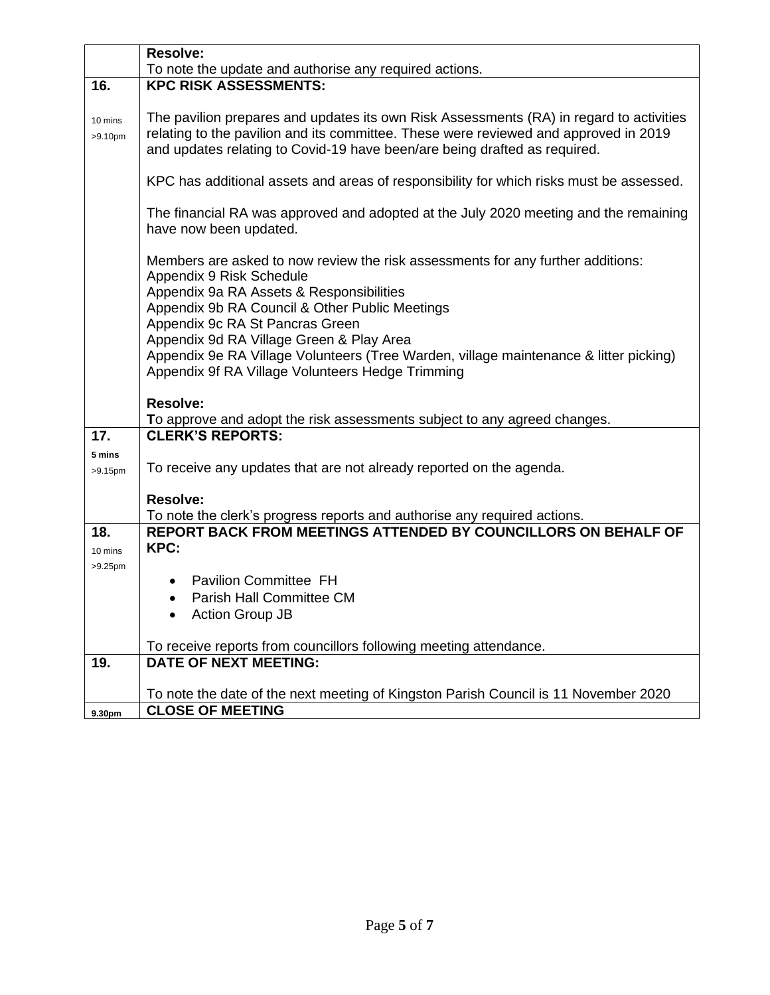|                                | <b>Resolve:</b>                                                                                                                                                                                                                                              |  |  |
|--------------------------------|--------------------------------------------------------------------------------------------------------------------------------------------------------------------------------------------------------------------------------------------------------------|--|--|
|                                | To note the update and authorise any required actions.                                                                                                                                                                                                       |  |  |
| 16.                            | <b>KPC RISK ASSESSMENTS:</b>                                                                                                                                                                                                                                 |  |  |
| 10 mins<br>>9.10 <sub>pm</sub> | The pavilion prepares and updates its own Risk Assessments (RA) in regard to activities<br>relating to the pavilion and its committee. These were reviewed and approved in 2019<br>and updates relating to Covid-19 have been/are being drafted as required. |  |  |
|                                | KPC has additional assets and areas of responsibility for which risks must be assessed.                                                                                                                                                                      |  |  |
|                                | The financial RA was approved and adopted at the July 2020 meeting and the remaining<br>have now been updated.                                                                                                                                               |  |  |
|                                | Members are asked to now review the risk assessments for any further additions:<br>Appendix 9 Risk Schedule                                                                                                                                                  |  |  |
|                                | Appendix 9a RA Assets & Responsibilities<br>Appendix 9b RA Council & Other Public Meetings                                                                                                                                                                   |  |  |
|                                | Appendix 9c RA St Pancras Green                                                                                                                                                                                                                              |  |  |
|                                | Appendix 9d RA Village Green & Play Area                                                                                                                                                                                                                     |  |  |
|                                | Appendix 9e RA Village Volunteers (Tree Warden, village maintenance & litter picking)<br>Appendix 9f RA Village Volunteers Hedge Trimming                                                                                                                    |  |  |
|                                | Resolve:                                                                                                                                                                                                                                                     |  |  |
|                                | To approve and adopt the risk assessments subject to any agreed changes.                                                                                                                                                                                     |  |  |
| 17.                            | <b>CLERK'S REPORTS:</b>                                                                                                                                                                                                                                      |  |  |
| 5 mins<br>$>9.15$ pm           | To receive any updates that are not already reported on the agenda.                                                                                                                                                                                          |  |  |
|                                | <b>Resolve:</b>                                                                                                                                                                                                                                              |  |  |
|                                | To note the clerk's progress reports and authorise any required actions.                                                                                                                                                                                     |  |  |
| 18.                            | <b>REPORT BACK FROM MEETINGS ATTENDED BY COUNCILLORS ON BEHALF OF</b>                                                                                                                                                                                        |  |  |
| 10 mins                        | KPC:                                                                                                                                                                                                                                                         |  |  |
| $>9.25$ pm                     |                                                                                                                                                                                                                                                              |  |  |
|                                | <b>Pavilion Committee FH</b>                                                                                                                                                                                                                                 |  |  |
|                                | Parish Hall Committee CM                                                                                                                                                                                                                                     |  |  |
|                                | <b>Action Group JB</b>                                                                                                                                                                                                                                       |  |  |
|                                | To receive reports from councillors following meeting attendance.                                                                                                                                                                                            |  |  |
| 19.                            | <b>DATE OF NEXT MEETING:</b>                                                                                                                                                                                                                                 |  |  |
|                                |                                                                                                                                                                                                                                                              |  |  |
|                                | To note the date of the next meeting of Kingston Parish Council is 11 November 2020                                                                                                                                                                          |  |  |
| 9.30pm                         | <b>CLOSE OF MEETING</b>                                                                                                                                                                                                                                      |  |  |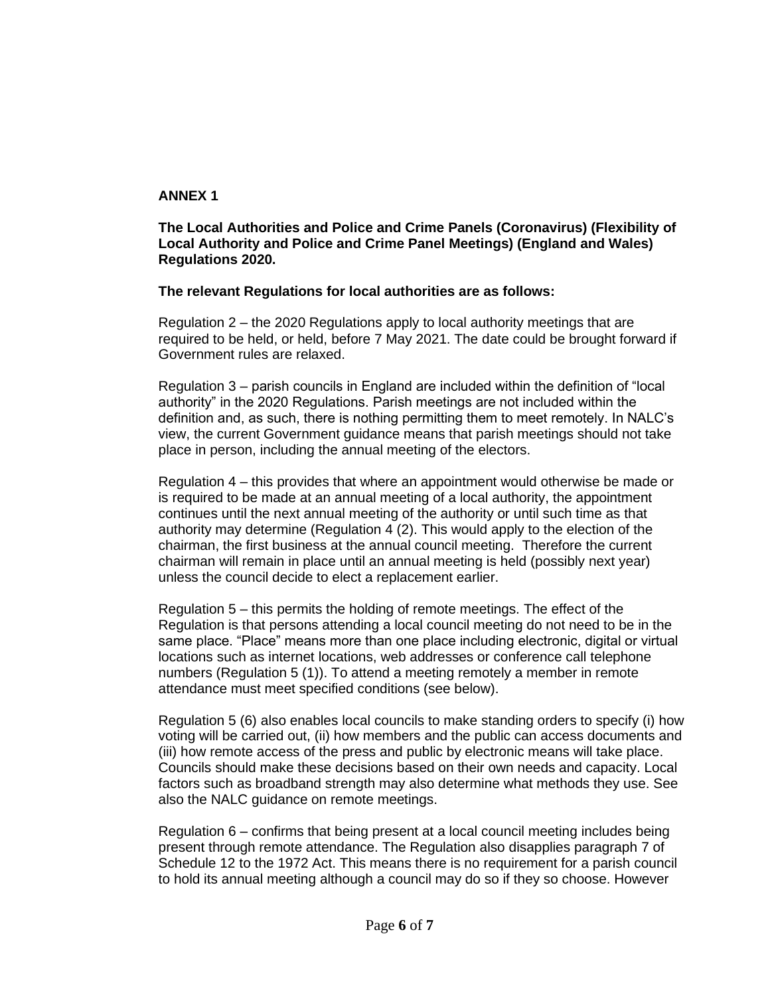# **ANNEX 1**

**The Local Authorities and Police and Crime Panels (Coronavirus) (Flexibility of Local Authority and Police and Crime Panel Meetings) (England and Wales) Regulations 2020.**

## **The relevant Regulations for local authorities are as follows:**

Regulation 2 – the 2020 Regulations apply to local authority meetings that are required to be held, or held, before 7 May 2021. The date could be brought forward if Government rules are relaxed.

Regulation 3 – parish councils in England are included within the definition of "local authority" in the 2020 Regulations. Parish meetings are not included within the definition and, as such, there is nothing permitting them to meet remotely. In NALC's view, the current Government guidance means that parish meetings should not take place in person, including the annual meeting of the electors.

Regulation 4 – this provides that where an appointment would otherwise be made or is required to be made at an annual meeting of a local authority, the appointment continues until the next annual meeting of the authority or until such time as that authority may determine (Regulation 4 (2). This would apply to the election of the chairman, the first business at the annual council meeting. Therefore the current chairman will remain in place until an annual meeting is held (possibly next year) unless the council decide to elect a replacement earlier.

Regulation 5 – this permits the holding of remote meetings. The effect of the Regulation is that persons attending a local council meeting do not need to be in the same place. "Place" means more than one place including electronic, digital or virtual locations such as internet locations, web addresses or conference call telephone numbers (Regulation 5 (1)). To attend a meeting remotely a member in remote attendance must meet specified conditions (see below).

Regulation 5 (6) also enables local councils to make standing orders to specify (i) how voting will be carried out, (ii) how members and the public can access documents and (iii) how remote access of the press and public by electronic means will take place. Councils should make these decisions based on their own needs and capacity. Local factors such as broadband strength may also determine what methods they use. See also the NALC guidance on remote meetings.

Regulation 6 – confirms that being present at a local council meeting includes being present through remote attendance. The Regulation also disapplies paragraph 7 of Schedule 12 to the 1972 Act. This means there is no requirement for a parish council to hold its annual meeting although a council may do so if they so choose. However